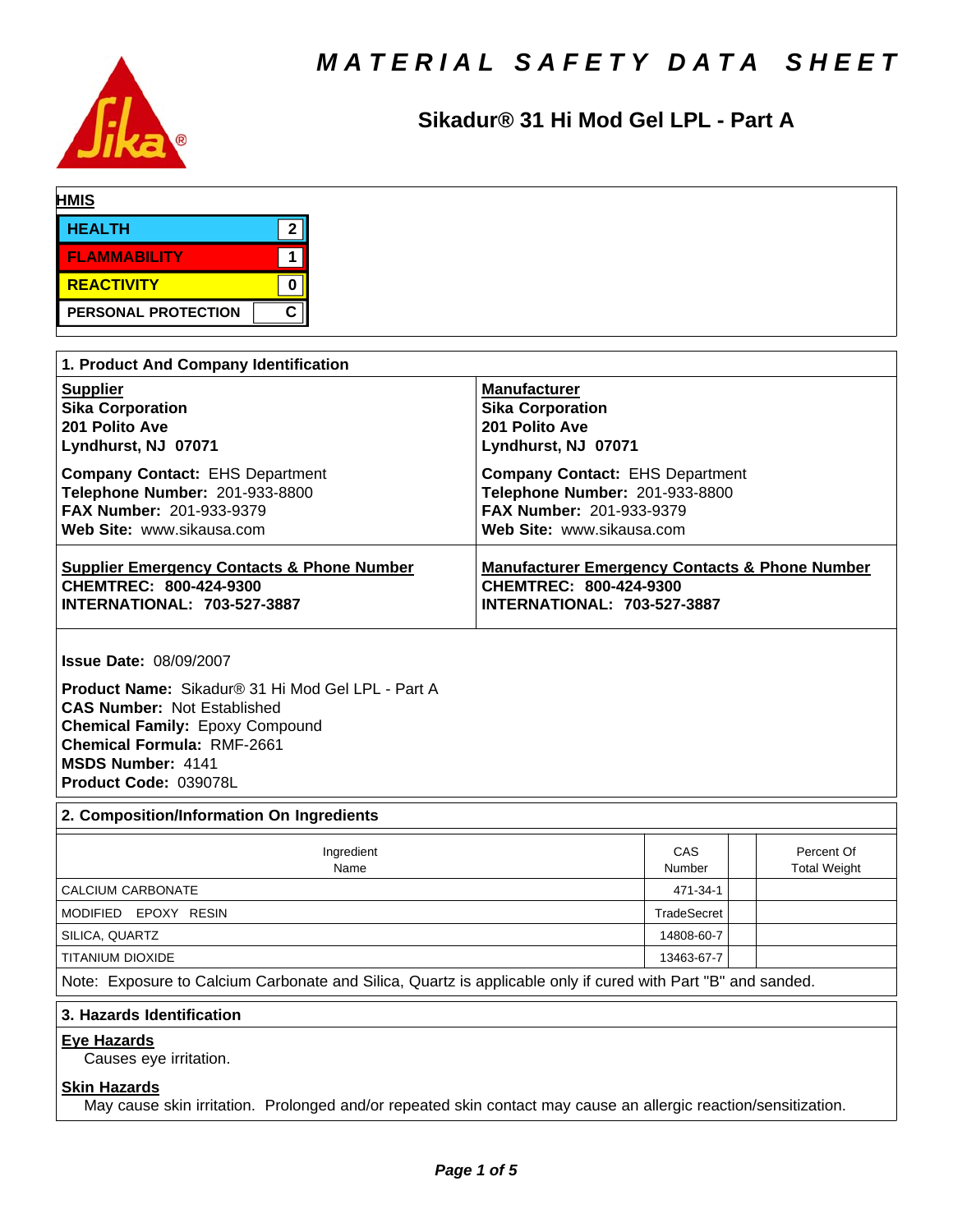

# **Sikadur®31HiModGelLPL-PartA**

| <b>HMIS</b>                           |                         |
|---------------------------------------|-------------------------|
| <b>HEALTH</b><br>າ                    |                         |
| <b>FLAMMABILITY</b>                   |                         |
| <b>REACTIVITY</b>                     |                         |
| С<br>PERSONAL PROTECTION              |                         |
|                                       |                         |
| 1. Product And Company Identification |                         |
| <b>Supplier</b>                       | <b>Manufacturer</b>     |
| <b>Sika Corporation</b>               | <b>Sika Corporation</b> |
| 201 Polito Ave                        | 201 Polito Ave<br>.  ._ |

**Lyndhurst, NJ 07071 Lyndhurst, NJ 07071 Company Contact: EHS Department <b>Company Contact: EHS Department Telephone Number:** 201-933-8800 **Telephone Number:** 201-933-8800 **FAX Number:** 201-933-9379 **FAX Number:** 201-933-9379 **Web Site:** www.sikausa.com **Web Site:** www.sikausa.com **Supplier Emergency Contacts & Phone Number Manufacturer Emergency Contacts & Phone Number CHEMTREC: 800-424-9300 CHEMTREC: 800-424-9300 INTERNATIONAL: 703-527-3887 INTERNATIONAL: 703-527-3887**

**Issue Date:** 08/09/2007

**Product Name: Sikadur® 31 Hi Mod Gel LPL - Part A CAS Number:** Not Established **Chemical Family:** Epoxy Compound **Chemical Formula:** RMF-2661 **MSDS Number:** 4141 **Product Code:** 039078L

# **2. Composition/Information On Ingredients**

| Ingredient<br>Name                                                                                          | CAS<br>Number |  | Percent Of<br><b>Total Weight</b> |
|-------------------------------------------------------------------------------------------------------------|---------------|--|-----------------------------------|
| CALCIUM CARBONATE                                                                                           | 471-34-1      |  |                                   |
| MODIFIED EPOXY RESIN                                                                                        |               |  |                                   |
| SILICA, QUARTZ                                                                                              | 14808-60-7    |  |                                   |
| TITANIUM DIOXIDE                                                                                            | 13463-67-7    |  |                                   |
| Alata: Evansura to Coloium Corbonato and Cilian. Overty in annivable anty if avand with Dart IDI and sonded |               |  |                                   |

Note: Exposure to Calcium Carbonate and Silica, Quartz is applicable only if cured with Part "B" and sanded.

#### **3. Hazards Identification**

# **Eye Hazards**

Causes eye irritation.

### **Skin Hazards**

May cause skin irritation. Prolonged and/or repeated skin contact may cause an allergic reaction/sensitization.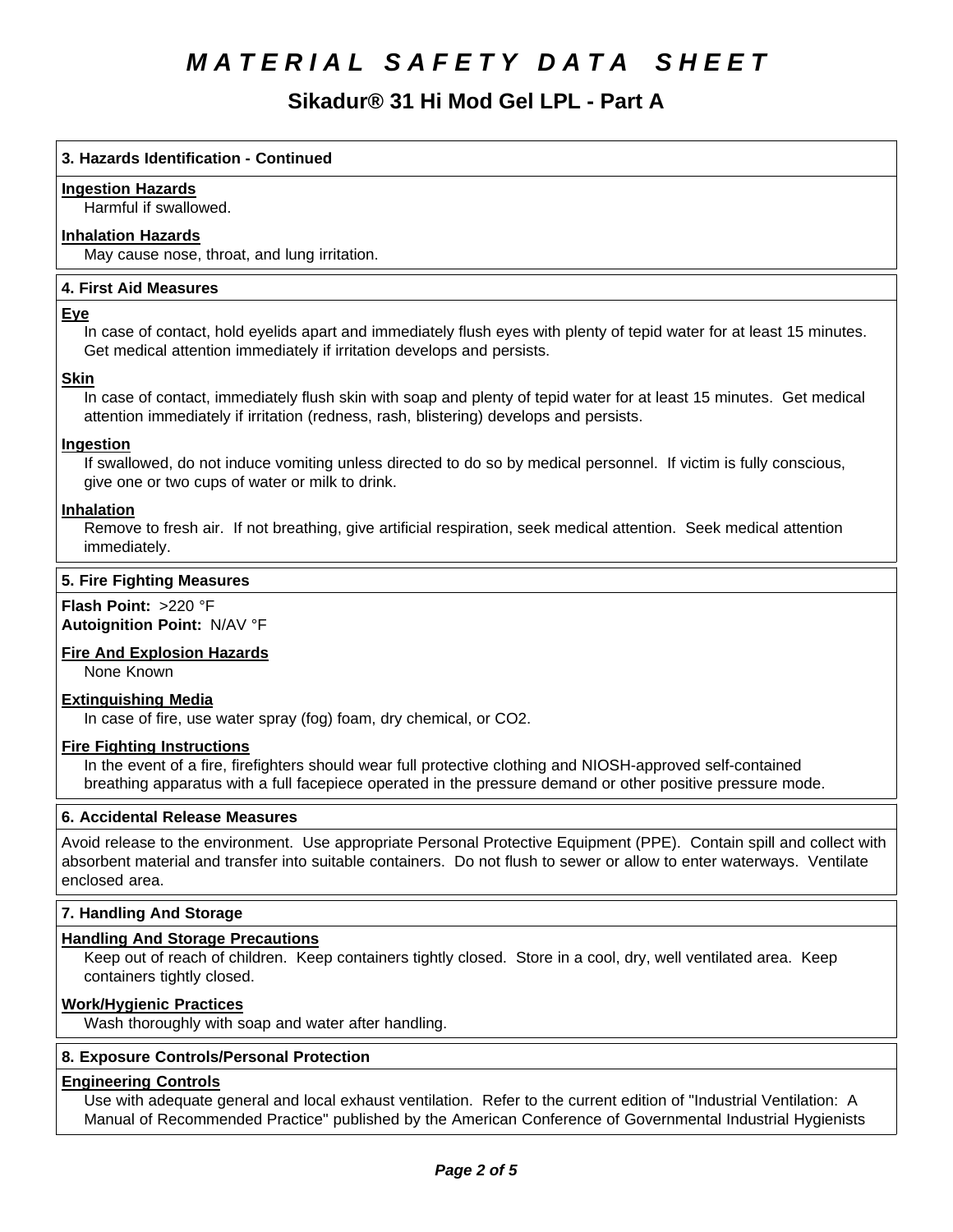**Sikadur®31HiModGelLPL-PartA**

# **3. Hazards Identification - Continued**

### **Ingestion Hazards**

Harmful if swallowed.

# **Inhalation Hazards**

May cause nose, throat, and lung irritation.

# **4.First AidMeasures**

### **Eye**

In case of contact, hold eyelids apart and immediately flush eyes with plenty of tepid water for at least 15 minutes. Get medical attention immediately if irritation develops and persists.

### **Skin**

In case of contact, immediately flush skin with soap and plenty of tepid water for at least 15 minutes. Get medical attention immediately if irritation (redness, rash, blistering) develops and persists.

# **Ingestion**

If swallowed, do not induce vomiting unless directed to do so by medical personnel. If victim is fully conscious, give one or two cups of water or milk to drink.

### **Inhalation**

Remove to fresh air. If not breathing, give artificial respiration, seek medical attention. Seek medical attention immediately.

# **5. Fire Fighting Measures**

**Flash Point:** >220 °F **Autoignition Point:** N/AV°F

# **Fire And Explosion Hazards**

None Known

# **Extinguishing Media**

In case of fire, use water spray (fog) foam, dry chemical, or CO2.

#### **Fire Fighting Instructions**

In the event of a fire, firefighters should wear full protective clothing and NIOSH-approved self-contained breathing apparatus with a full facepiece operated in the pressure demand or other positive pressure mode.

# **6. Accidental Release Measures**

Avoid release to the environment. Use appropriate Personal Protective Equipment (PPE). Contain spill and collect with absorbent material and transfer into suitable containers. Do not flush to sewer or allow to enter waterways. Ventilate enclosed area.

# **7. Handling And Storage**

# **Handling And Storage Precautions**

Keep out of reach of children. Keep containers tightly closed. Store in a cool, dry, well ventilated area. Keep containers tightly closed.

# **Work/Hygienic Practices**

Wash thoroughly with soap and water after handling.

# **8. Exposure Controls/Personal Protection**

# **Engineering Controls**

Use with adequate general and local exhaust ventilation. Refer to the current edition of "Industrial Ventilation: A Manual of Recommended Practice" published by the American Conference of Governmental Industrial Hygienists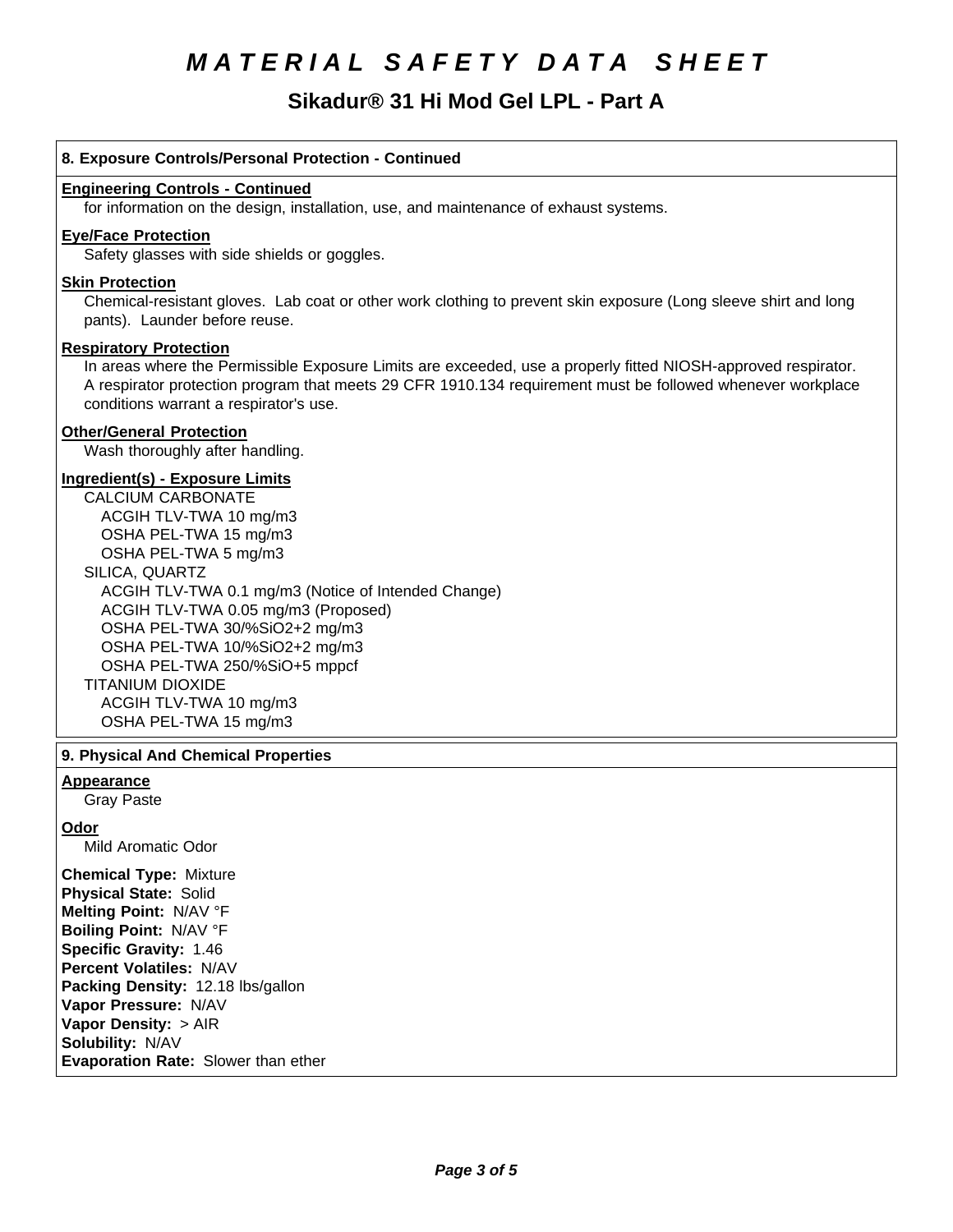# **Sikadur®31HiModGelLPL-PartA**

# **8. Exposure Controls/Personal Protection - Continued Engineering Controls - Continued** for information on the design, installation, use, and maintenance of exhaust systems. **Eye/Face Protection** Safety glasses with side shields or goggles. **Skin Protection** Chemical-resistant gloves. Lab coat or other work clothing to prevent skin exposure (Long sleeve shirt and long pants). Launder before reuse. **Respiratory Protection** In areas where the Permissible Exposure Limits are exceeded, use a properly fitted NIOSH-approved respirator. A respirator protection program that meets 29 CFR 1910.134 requirement must be followed whenever workplace conditions warrant a respirator's use. **Other/General Protection** Wash thoroughly after handling. **Ingredient(s) - Exposure Limits** CALCIUM CARBONATE ACGIH TLV-TWA10 mg/m3 OSHA PEL-TWA 15 mg/m3 OSHA PEL-TWA 5 mg/m3 SILICA, QUARTZ ACGIH TLV-TWA 0.1 mg/m3 (Notice of Intended Change) ACGIH TLV-TWA 0.05 mg/m3 (Proposed) OSHA PEL-TWA 30/%SiO2+2 mg/m3 OSHA PEL-TWA 10/%SiO2+2 mg/m3 OSHA PEL-TWA 250/%SiO+5 mppcf TITANIUM DIOXIDE ACGIH TLV-TWA10 mg/m3 OSHA PEL-TWA 15 mg/m3 **9. Physical And Chemical Properties Appearance** Gray Paste **Odor** Mild Aromatic Odor **Chemical Type:** Mixture **Physical State:** Solid **Melting Point:** N/AV°F **Boiling Point:** N/AV°F **Specific Gravity:** 1.46 **Percent Volatiles:** N/AV **Packing Density:** 12.18 lbs/gallon **Vapor Pressure:** N/AV **Vapor Density: > AIR Solubility: N/AV Evaporation Rate:** Slower than ether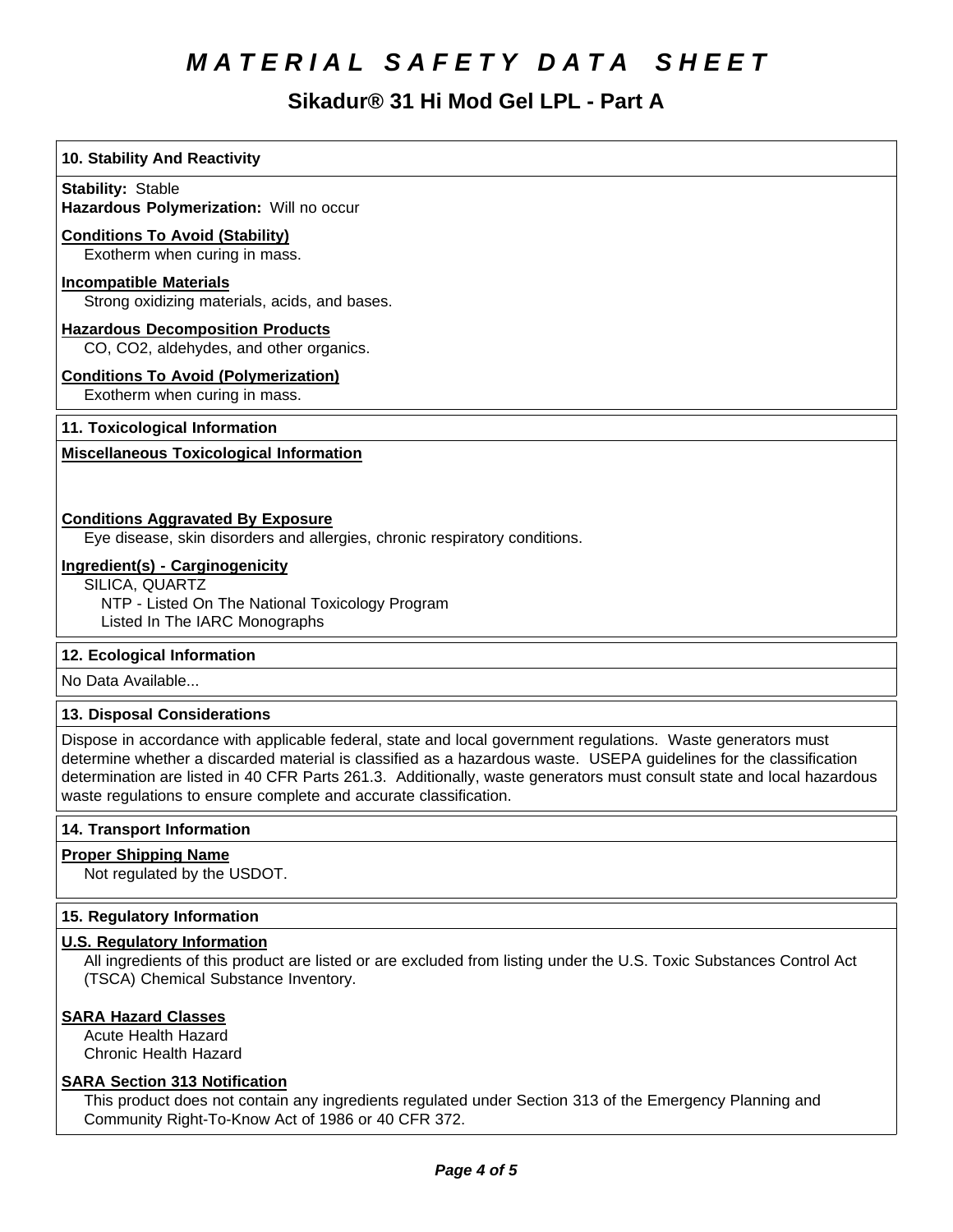# **Sikadur®31HiModGelLPL-PartA**

# **10. Stability And Reactivity**

**Stability: Stable** 

**Hazardous Polymerization: Will no occur** 

# **Conditions To Avoid (Stability)**

Exotherm when curing in mass.

### **Incompatible Materials**

Strong oxidizing materials, acids, and bases.

## **Hazardous Decomposition Products**

CO, CO2, aldehydes, and other organics.

# **Conditions To Avoid (Polymerization)**

Exotherm when curing in mass.

# **11. Toxicological Information**

# **Miscellaneous Toxicological Information**

# **Conditions Aggravated By Exposure**

Eye disease, skin disorders and allergies, chronic respiratory conditions.

### **Ingredient(s) - Carginogenicity**

SILICA, QUARTZ

NTP - Listed On The National Toxicology Program Listed In The IARC Monographs

# **12. Ecological Information**

No Data Available...

# **13. Disposal Considerations**

Dispose in accordance with applicable federal, state and local government regulations. Waste generators must determine whether a discarded material is classified as a hazardous waste. USEPA guidelines for the classification determination are listed in 40 CFR Parts 261.3. Additionally, waste generators must consult state and local hazardous waste regulations to ensure complete and accurate classification.

# **14. Transport Information**

# **Proper Shipping Name**

Not regulated by the USDOT.

# **15. Regulatory Information**

# **U.S. Regulatory Information**

All ingredients of this product are listed or are excluded from listing under the U.S. Toxic Substances Control Act (TSCA) Chemical Substance Inventory.

#### **SARA Hazard Classes**

Acute Health Hazard Chronic Health Hazard

# **SARA Section 313 Notification**

This product does not contain any ingredients regulated under Section 313 of the Emergency Planning and Community Right-To-Know Act of 1986 or 40 CFR 372.